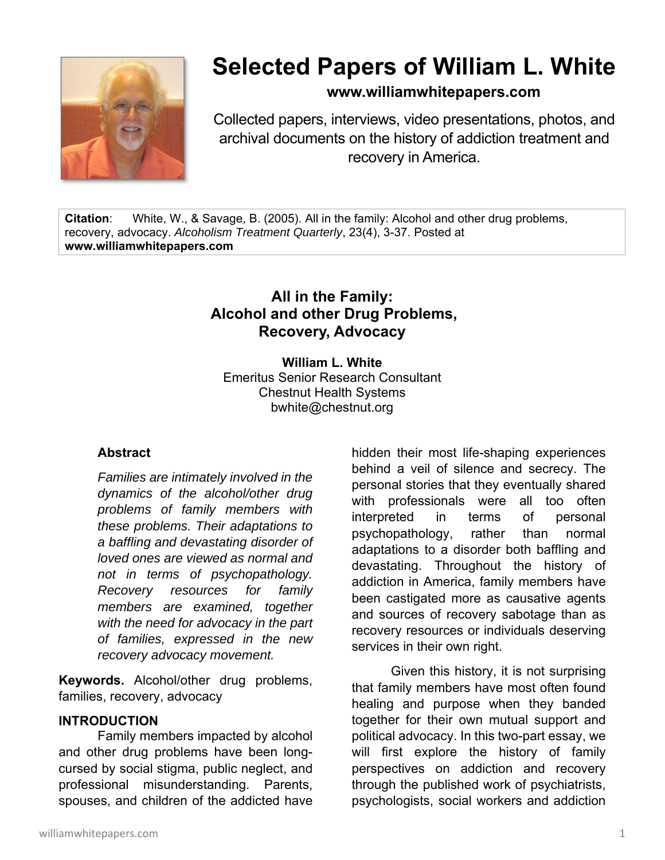

# **Selected Papers of William L. White**

**www.williamwhitepapers.com**

Collected papers, interviews, video presentations, photos, and archival documents on the history of addiction treatment and recovery in America.

**Citation**: White, W., & Savage, B. (2005). All in the family: Alcohol and other drug problems, recovery, advocacy. *Alcoholism Treatment Quarterly*, 23(4), 3-37. Posted at **www.williamwhitepapers.com** 

## **All in the Family: Alcohol and other Drug Problems, Recovery, Advocacy**

**William L. White**  Emeritus Senior Research Consultant Chestnut Health Systems bwhite@chestnut.org

## **Abstract**

*Families are intimately involved in the dynamics of the alcohol/other drug problems of family members with these problems. Their adaptations to a baffling and devastating disorder of loved ones are viewed as normal and not in terms of psychopathology. Recovery resources for family members are examined, together with the need for advocacy in the part of families, expressed in the new recovery advocacy movement.* 

**Keywords.** Alcohol/other drug problems, families, recovery, advocacy

## **INTRODUCTION**

 Family members impacted by alcohol and other drug problems have been longcursed by social stigma, public neglect, and professional misunderstanding. Parents, spouses, and children of the addicted have

hidden their most life-shaping experiences behind a veil of silence and secrecy. The personal stories that they eventually shared with professionals were all too often interpreted in terms of personal psychopathology, rather than normal adaptations to a disorder both baffling and devastating. Throughout the history of addiction in America, family members have been castigated more as causative agents and sources of recovery sabotage than as recovery resources or individuals deserving services in their own right.

 Given this history, it is not surprising that family members have most often found healing and purpose when they banded together for their own mutual support and political advocacy. In this two-part essay, we will first explore the history of family perspectives on addiction and recovery through the published work of psychiatrists, psychologists, social workers and addiction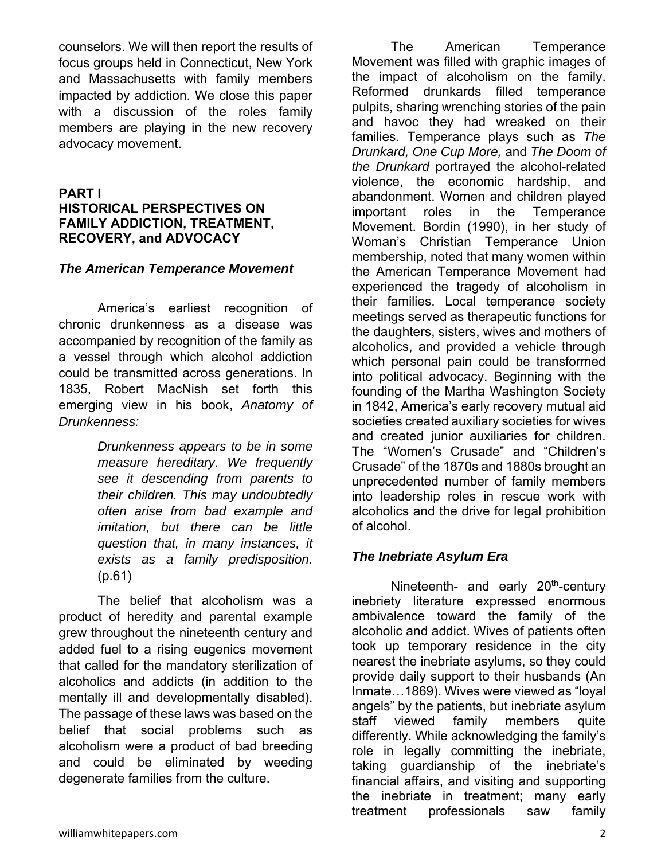counselors. We will then report the results of focus groups held in Connecticut, New York and Massachusetts with family members impacted by addiction. We close this paper with a discussion of the roles family members are playing in the new recovery advocacy movement.

## **PART I HISTORICAL PERSPECTIVES ON FAMILY ADDICTION, TREATMENT, RECOVERY, and ADVOCACY**

#### *The American Temperance Movement*

 America's earliest recognition of chronic drunkenness as a disease was accompanied by recognition of the family as a vessel through which alcohol addiction could be transmitted across generations. In 1835, Robert MacNish set forth this emerging view in his book, *Anatomy of Drunkenness:* 

> *Drunkenness appears to be in some measure hereditary. We frequently see it descending from parents to their children. This may undoubtedly often arise from bad example and imitation, but there can be little question that, in many instances, it exists as a family predisposition.*  (p.61)

 The belief that alcoholism was a product of heredity and parental example grew throughout the nineteenth century and added fuel to a rising eugenics movement that called for the mandatory sterilization of alcoholics and addicts (in addition to the mentally ill and developmentally disabled). The passage of these laws was based on the belief that social problems such as alcoholism were a product of bad breeding and could be eliminated by weeding degenerate families from the culture.

 The American Temperance Movement was filled with graphic images of the impact of alcoholism on the family. Reformed drunkards filled temperance pulpits, sharing wrenching stories of the pain and havoc they had wreaked on their families. Temperance plays such as *The Drunkard, One Cup More,* and *The Doom of the Drunkard* portrayed the alcohol-related violence, the economic hardship, and abandonment. Women and children played important roles in the Temperance Movement. Bordin (1990), in her study of Woman's Christian Temperance Union membership, noted that many women within the American Temperance Movement had experienced the tragedy of alcoholism in their families. Local temperance society meetings served as therapeutic functions for the daughters, sisters, wives and mothers of alcoholics, and provided a vehicle through which personal pain could be transformed into political advocacy. Beginning with the founding of the Martha Washington Society in 1842, America's early recovery mutual aid societies created auxiliary societies for wives and created junior auxiliaries for children. The "Women's Crusade" and "Children's Crusade" of the 1870s and 1880s brought an unprecedented number of family members into leadership roles in rescue work with alcoholics and the drive for legal prohibition of alcohol.

## *The Inebriate Asylum Era*

Nineteenth- and early  $20<sup>th</sup>$ -century inebriety literature expressed enormous ambivalence toward the family of the alcoholic and addict. Wives of patients often took up temporary residence in the city nearest the inebriate asylums, so they could provide daily support to their husbands (An Inmate…1869). Wives were viewed as "loyal angels" by the patients, but inebriate asylum staff viewed family members quite differently. While acknowledging the family's role in legally committing the inebriate, taking guardianship of the inebriate's financial affairs, and visiting and supporting the inebriate in treatment; many early treatment professionals saw family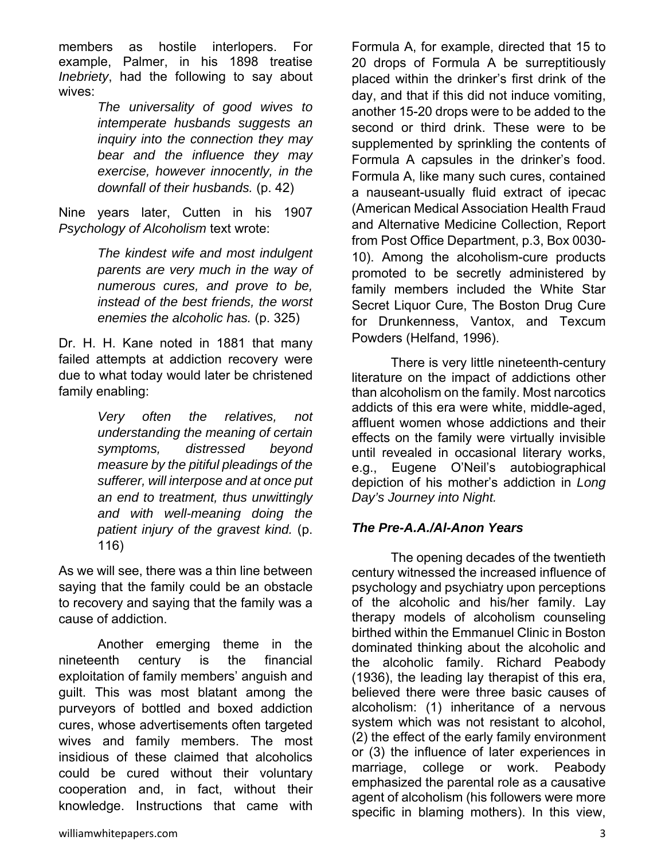members as hostile interlopers. For example, Palmer, in his 1898 treatise *Inebriety*, had the following to say about wives:

> *The universality of good wives to intemperate husbands suggests an inquiry into the connection they may bear and the influence they may exercise, however innocently, in the downfall of their husbands.* (p. 42)

Nine years later, Cutten in his 1907 *Psychology of Alcoholism* text wrote:

> *The kindest wife and most indulgent parents are very much in the way of numerous cures, and prove to be, instead of the best friends, the worst enemies the alcoholic has.* (p. 325)

Dr. H. H. Kane noted in 1881 that many failed attempts at addiction recovery were due to what today would later be christened family enabling:

> *Very often the relatives, not understanding the meaning of certain symptoms, distressed beyond measure by the pitiful pleadings of the sufferer, will interpose and at once put an end to treatment, thus unwittingly and with well-meaning doing the patient injury of the gravest kind.* (p. 116)

As we will see, there was a thin line between saying that the family could be an obstacle to recovery and saying that the family was a cause of addiction.

 Another emerging theme in the nineteenth century is the financial exploitation of family members' anguish and guilt. This was most blatant among the purveyors of bottled and boxed addiction cures, whose advertisements often targeted wives and family members. The most insidious of these claimed that alcoholics could be cured without their voluntary cooperation and, in fact, without their knowledge. Instructions that came with Formula A, for example, directed that 15 to 20 drops of Formula A be surreptitiously placed within the drinker's first drink of the day, and that if this did not induce vomiting, another 15-20 drops were to be added to the second or third drink. These were to be supplemented by sprinkling the contents of Formula A capsules in the drinker's food. Formula A, like many such cures, contained a nauseant-usually fluid extract of ipecac (American Medical Association Health Fraud and Alternative Medicine Collection, Report from Post Office Department, p.3, Box 0030- 10). Among the alcoholism-cure products promoted to be secretly administered by family members included the White Star Secret Liquor Cure, The Boston Drug Cure for Drunkenness, Vantox, and Texcum Powders (Helfand, 1996).

 There is very little nineteenth-century literature on the impact of addictions other than alcoholism on the family. Most narcotics addicts of this era were white, middle-aged, affluent women whose addictions and their effects on the family were virtually invisible until revealed in occasional literary works, e.g., Eugene O'Neil's autobiographical depiction of his mother's addiction in *Long Day's Journey into Night.*

## *The Pre-A.A./Al-Anon Years*

 The opening decades of the twentieth century witnessed the increased influence of psychology and psychiatry upon perceptions of the alcoholic and his/her family. Lay therapy models of alcoholism counseling birthed within the Emmanuel Clinic in Boston dominated thinking about the alcoholic and the alcoholic family. Richard Peabody (1936), the leading lay therapist of this era, believed there were three basic causes of alcoholism: (1) inheritance of a nervous system which was not resistant to alcohol, (2) the effect of the early family environment or (3) the influence of later experiences in marriage, college or work. Peabody emphasized the parental role as a causative agent of alcoholism (his followers were more specific in blaming mothers). In this view,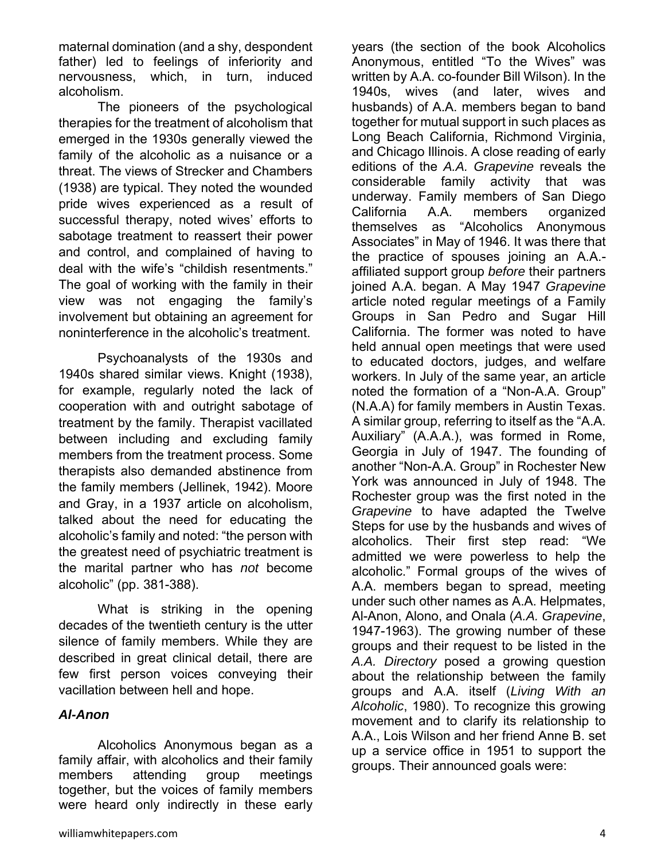maternal domination (and a shy, despondent father) led to feelings of inferiority and nervousness, which, in turn, induced alcoholism.

 The pioneers of the psychological therapies for the treatment of alcoholism that emerged in the 1930s generally viewed the family of the alcoholic as a nuisance or a threat. The views of Strecker and Chambers (1938) are typical. They noted the wounded pride wives experienced as a result of successful therapy, noted wives' efforts to sabotage treatment to reassert their power and control, and complained of having to deal with the wife's "childish resentments." The goal of working with the family in their view was not engaging the family's involvement but obtaining an agreement for noninterference in the alcoholic's treatment.

 Psychoanalysts of the 1930s and 1940s shared similar views. Knight (1938), for example, regularly noted the lack of cooperation with and outright sabotage of treatment by the family. Therapist vacillated between including and excluding family members from the treatment process. Some therapists also demanded abstinence from the family members (Jellinek, 1942). Moore and Gray, in a 1937 article on alcoholism, talked about the need for educating the alcoholic's family and noted: "the person with the greatest need of psychiatric treatment is the marital partner who has *not* become alcoholic" (pp. 381-388).

 What is striking in the opening decades of the twentieth century is the utter silence of family members. While they are described in great clinical detail, there are few first person voices conveying their vacillation between hell and hope.

## *Al-Anon*

 Alcoholics Anonymous began as a family affair, with alcoholics and their family members attending group meetings together, but the voices of family members were heard only indirectly in these early

years (the section of the book Alcoholics Anonymous, entitled "To the Wives" was written by A.A. co-founder Bill Wilson). In the 1940s, wives (and later, wives and husbands) of A.A. members began to band together for mutual support in such places as Long Beach California, Richmond Virginia, and Chicago Illinois. A close reading of early editions of the *A.A. Grapevine* reveals the considerable family activity that was underway. Family members of San Diego California A.A. members organized themselves as "Alcoholics Anonymous Associates" in May of 1946. It was there that the practice of spouses joining an A.A. affiliated support group *before* their partners joined A.A. began. A May 1947 *Grapevine* article noted regular meetings of a Family Groups in San Pedro and Sugar Hill California. The former was noted to have held annual open meetings that were used to educated doctors, judges, and welfare workers. In July of the same year, an article noted the formation of a "Non-A.A. Group" (N.A.A) for family members in Austin Texas. A similar group, referring to itself as the "A.A. Auxiliary" (A.A.A.), was formed in Rome, Georgia in July of 1947. The founding of another "Non-A.A. Group" in Rochester New York was announced in July of 1948. The Rochester group was the first noted in the *Grapevine* to have adapted the Twelve Steps for use by the husbands and wives of alcoholics. Their first step read: "We admitted we were powerless to help the alcoholic." Formal groups of the wives of A.A. members began to spread, meeting under such other names as A.A. Helpmates, Al-Anon, Alono, and Onala (*A.A. Grapevine*, 1947-1963). The growing number of these groups and their request to be listed in the *A.A. Directory* posed a growing question about the relationship between the family groups and A.A. itself (*Living With an Alcoholic*, 1980). To recognize this growing movement and to clarify its relationship to A.A., Lois Wilson and her friend Anne B. set up a service office in 1951 to support the groups. Their announced goals were: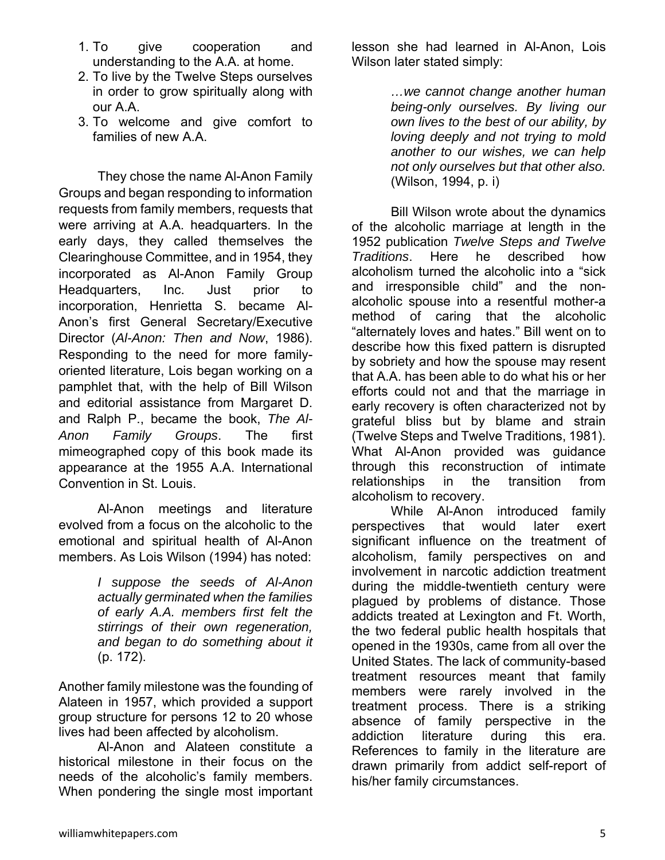- 1. To give cooperation and understanding to the A.A. at home.
- 2. To live by the Twelve Steps ourselves in order to grow spiritually along with our A.A.
- 3. To welcome and give comfort to families of new A.A.

They chose the name Al-Anon Family Groups and began responding to information requests from family members, requests that were arriving at A.A. headquarters. In the early days, they called themselves the Clearinghouse Committee, and in 1954, they incorporated as Al-Anon Family Group Headquarters, Inc. Just prior to incorporation, Henrietta S. became Al-Anon's first General Secretary/Executive Director (*Al-Anon: Then and Now*, 1986). Responding to the need for more familyoriented literature, Lois began working on a pamphlet that, with the help of Bill Wilson and editorial assistance from Margaret D. and Ralph P., became the book, *The Al-Anon Family Groups*. The first mimeographed copy of this book made its appearance at the 1955 A.A. International Convention in St. Louis.

Al-Anon meetings and literature evolved from a focus on the alcoholic to the emotional and spiritual health of Al-Anon members. As Lois Wilson (1994) has noted:

> *I suppose the seeds of Al-Anon actually germinated when the families of early A.A. members first felt the stirrings of their own regeneration, and began to do something about it*  (p. 172).

Another family milestone was the founding of Alateen in 1957, which provided a support group structure for persons 12 to 20 whose lives had been affected by alcoholism.

 Al-Anon and Alateen constitute a historical milestone in their focus on the needs of the alcoholic's family members. When pondering the single most important lesson she had learned in Al-Anon, Lois Wilson later stated simply:

> *…we cannot change another human being-only ourselves. By living our own lives to the best of our ability, by loving deeply and not trying to mold another to our wishes, we can help not only ourselves but that other also.*  (Wilson, 1994, p. i)

Bill Wilson wrote about the dynamics of the alcoholic marriage at length in the 1952 publication *Twelve Steps and Twelve Traditions*. Here he described how alcoholism turned the alcoholic into a "sick and irresponsible child" and the nonalcoholic spouse into a resentful mother-a method of caring that the alcoholic "alternately loves and hates." Bill went on to describe how this fixed pattern is disrupted by sobriety and how the spouse may resent that A.A. has been able to do what his or her efforts could not and that the marriage in early recovery is often characterized not by grateful bliss but by blame and strain (Twelve Steps and Twelve Traditions, 1981). What Al-Anon provided was guidance through this reconstruction of intimate relationships in the transition from alcoholism to recovery.

While Al-Anon introduced family perspectives that would later exert significant influence on the treatment of alcoholism, family perspectives on and involvement in narcotic addiction treatment during the middle-twentieth century were plagued by problems of distance. Those addicts treated at Lexington and Ft. Worth, the two federal public health hospitals that opened in the 1930s, came from all over the United States. The lack of community-based treatment resources meant that family members were rarely involved in the treatment process. There is a striking absence of family perspective in the addiction literature during this era. References to family in the literature are drawn primarily from addict self-report of his/her family circumstances.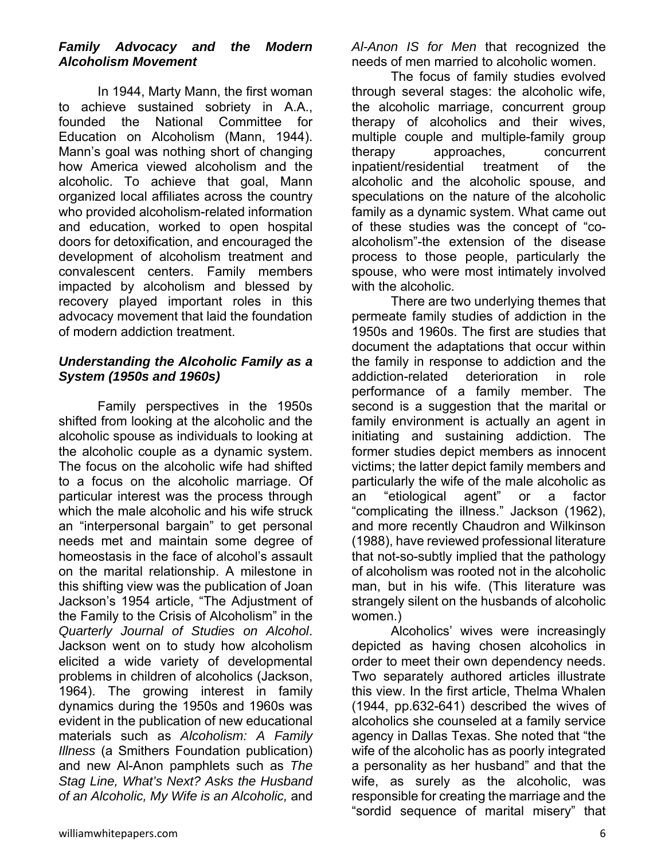## *Family Advocacy and the Modern Alcoholism Movement*

 In 1944, Marty Mann, the first woman to achieve sustained sobriety in A.A., founded the National Committee for Education on Alcoholism (Mann, 1944). Mann's goal was nothing short of changing how America viewed alcoholism and the alcoholic. To achieve that goal, Mann organized local affiliates across the country who provided alcoholism-related information and education, worked to open hospital doors for detoxification, and encouraged the development of alcoholism treatment and convalescent centers. Family members impacted by alcoholism and blessed by recovery played important roles in this advocacy movement that laid the foundation of modern addiction treatment.

## *Understanding the Alcoholic Family as a System (1950s and 1960s)*

Family perspectives in the 1950s shifted from looking at the alcoholic and the alcoholic spouse as individuals to looking at the alcoholic couple as a dynamic system. The focus on the alcoholic wife had shifted to a focus on the alcoholic marriage. Of particular interest was the process through which the male alcoholic and his wife struck an "interpersonal bargain" to get personal needs met and maintain some degree of homeostasis in the face of alcohol's assault on the marital relationship. A milestone in this shifting view was the publication of Joan Jackson's 1954 article, "The Adjustment of the Family to the Crisis of Alcoholism" in the *Quarterly Journal of Studies on Alcohol*. Jackson went on to study how alcoholism elicited a wide variety of developmental problems in children of alcoholics (Jackson, 1964). The growing interest in family dynamics during the 1950s and 1960s was evident in the publication of new educational materials such as *Alcoholism: A Family Illness* (a Smithers Foundation publication) and new Al-Anon pamphlets such as *The Stag Line, What's Next? Asks the Husband of an Alcoholic, My Wife is an Alcoholic,* and

*Al-Anon IS for Men* that recognized the needs of men married to alcoholic women.

 The focus of family studies evolved through several stages: the alcoholic wife, the alcoholic marriage, concurrent group therapy of alcoholics and their wives, multiple couple and multiple-family group therapy approaches, concurrent inpatient/residential treatment of the alcoholic and the alcoholic spouse, and speculations on the nature of the alcoholic family as a dynamic system. What came out of these studies was the concept of "coalcoholism"-the extension of the disease process to those people, particularly the spouse, who were most intimately involved with the alcoholic.

 There are two underlying themes that permeate family studies of addiction in the 1950s and 1960s. The first are studies that document the adaptations that occur within the family in response to addiction and the addiction-related deterioration in role performance of a family member. The second is a suggestion that the marital or family environment is actually an agent in initiating and sustaining addiction. The former studies depict members as innocent victims; the latter depict family members and particularly the wife of the male alcoholic as an "etiological agent" or a factor "complicating the illness." Jackson (1962), and more recently Chaudron and Wilkinson (1988), have reviewed professional literature that not-so-subtly implied that the pathology of alcoholism was rooted not in the alcoholic man, but in his wife. (This literature was strangely silent on the husbands of alcoholic women.)

 Alcoholics' wives were increasingly depicted as having chosen alcoholics in order to meet their own dependency needs. Two separately authored articles illustrate this view. In the first article, Thelma Whalen (1944, pp.632-641) described the wives of alcoholics she counseled at a family service agency in Dallas Texas. She noted that "the wife of the alcoholic has as poorly integrated a personality as her husband" and that the wife, as surely as the alcoholic, was responsible for creating the marriage and the "sordid sequence of marital misery" that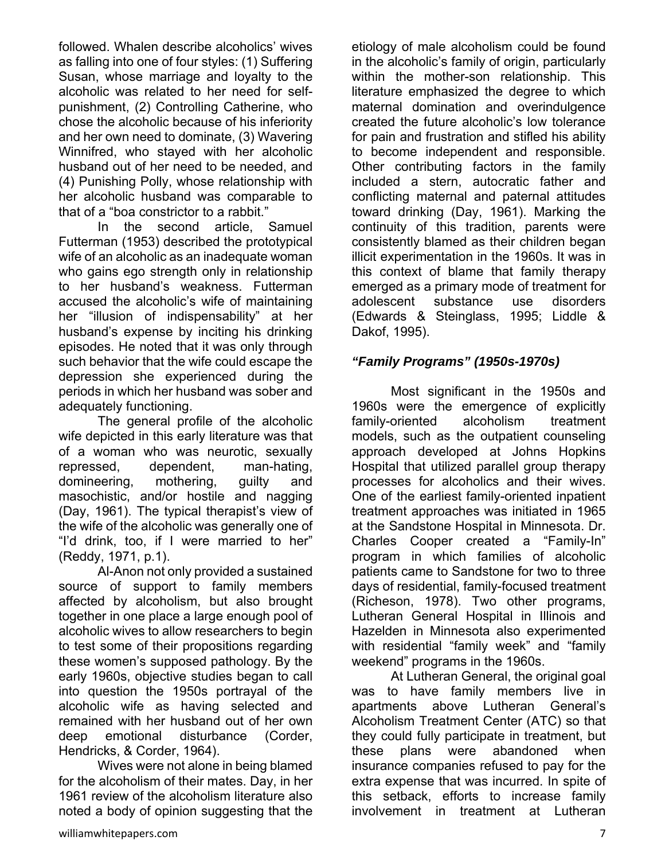followed. Whalen describe alcoholics' wives as falling into one of four styles: (1) Suffering Susan, whose marriage and loyalty to the alcoholic was related to her need for selfpunishment, (2) Controlling Catherine, who chose the alcoholic because of his inferiority and her own need to dominate, (3) Wavering Winnifred, who stayed with her alcoholic husband out of her need to be needed, and (4) Punishing Polly, whose relationship with her alcoholic husband was comparable to that of a "boa constrictor to a rabbit." In the second article, Samuel

Futterman (1953) described the prototypical wife of an alcoholic as an inadequate woman who gains ego strength only in relationship to her husband's weakness. Futterman accused the alcoholic's wife of maintaining her "illusion of indispensability" at her husband's expense by inciting his drinking episodes. He noted that it was only through such behavior that the wife could escape the depression she experienced during the periods in which her husband was sober and adequately functioning.

 The general profile of the alcoholic wife depicted in this early literature was that of a woman who was neurotic, sexually repressed, dependent, man-hating, domineering, mothering, guilty and masochistic, and/or hostile and nagging (Day, 1961). The typical therapist's view of the wife of the alcoholic was generally one of "I'd drink, too, if I were married to her" (Reddy, 1971, p.1).

 Al-Anon not only provided a sustained source of support to family members affected by alcoholism, but also brought together in one place a large enough pool of alcoholic wives to allow researchers to begin to test some of their propositions regarding these women's supposed pathology. By the early 1960s, objective studies began to call into question the 1950s portrayal of the alcoholic wife as having selected and remained with her husband out of her own deep emotional disturbance (Corder, Hendricks, & Corder, 1964).

 Wives were not alone in being blamed for the alcoholism of their mates. Day, in her 1961 review of the alcoholism literature also noted a body of opinion suggesting that the

etiology of male alcoholism could be found in the alcoholic's family of origin, particularly within the mother-son relationship. This literature emphasized the degree to which maternal domination and overindulgence created the future alcoholic's low tolerance for pain and frustration and stifled his ability to become independent and responsible. Other contributing factors in the family included a stern, autocratic father and conflicting maternal and paternal attitudes toward drinking (Day, 1961). Marking the continuity of this tradition, parents were consistently blamed as their children began illicit experimentation in the 1960s. It was in this context of blame that family therapy emerged as a primary mode of treatment for adolescent substance use disorders (Edwards & Steinglass, 1995; Liddle & Dakof, 1995).

## *"Family Programs" (1950s-1970s)*

 Most significant in the 1950s and 1960s were the emergence of explicitly family-oriented alcoholism treatment models, such as the outpatient counseling approach developed at Johns Hopkins Hospital that utilized parallel group therapy processes for alcoholics and their wives. One of the earliest family-oriented inpatient treatment approaches was initiated in 1965 at the Sandstone Hospital in Minnesota. Dr. Charles Cooper created a "Family-In" program in which families of alcoholic patients came to Sandstone for two to three days of residential, family-focused treatment (Richeson, 1978). Two other programs, Lutheran General Hospital in Illinois and Hazelden in Minnesota also experimented with residential "family week" and "family weekend" programs in the 1960s.

At Lutheran General, the original goal was to have family members live in apartments above Lutheran General's Alcoholism Treatment Center (ATC) so that they could fully participate in treatment, but these plans were abandoned when insurance companies refused to pay for the extra expense that was incurred. In spite of this setback, efforts to increase family involvement in treatment at Lutheran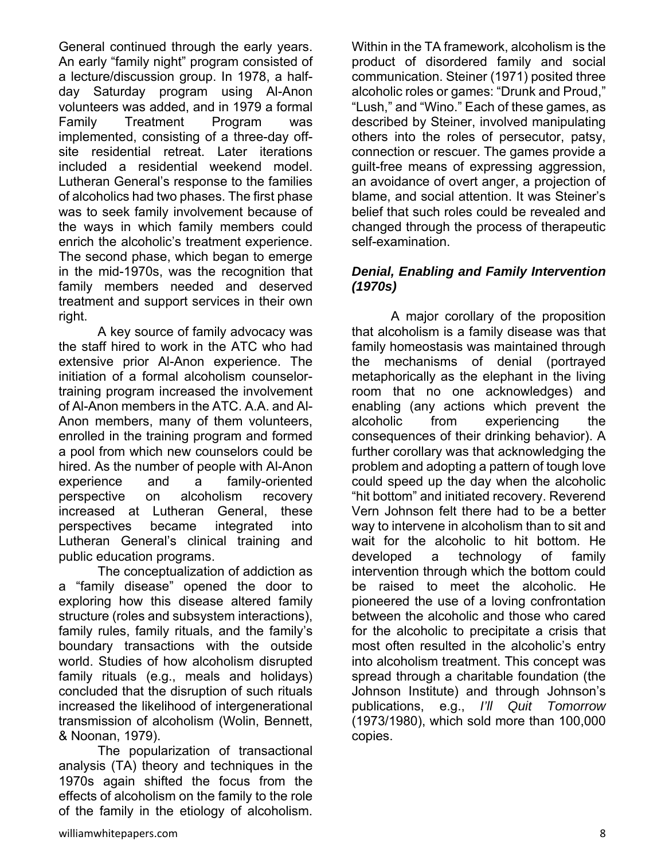General continued through the early years. An early "family night" program consisted of a lecture/discussion group. In 1978, a halfday Saturday program using Al-Anon volunteers was added, and in 1979 a formal Family Treatment Program was implemented, consisting of a three-day offsite residential retreat. Later iterations included a residential weekend model. Lutheran General's response to the families of alcoholics had two phases. The first phase was to seek family involvement because of the ways in which family members could enrich the alcoholic's treatment experience. The second phase, which began to emerge in the mid-1970s, was the recognition that family members needed and deserved treatment and support services in their own right.

 A key source of family advocacy was the staff hired to work in the ATC who had extensive prior Al-Anon experience. The initiation of a formal alcoholism counselortraining program increased the involvement of Al-Anon members in the ATC. A.A. and Al-Anon members, many of them volunteers, enrolled in the training program and formed a pool from which new counselors could be hired. As the number of people with Al-Anon experience and a family-oriented perspective on alcoholism recovery increased at Lutheran General, these perspectives became integrated into Lutheran General's clinical training and public education programs.

 The conceptualization of addiction as a "family disease" opened the door to exploring how this disease altered family structure (roles and subsystem interactions), family rules, family rituals, and the family's boundary transactions with the outside world. Studies of how alcoholism disrupted family rituals (e.g., meals and holidays) concluded that the disruption of such rituals increased the likelihood of intergenerational transmission of alcoholism (Wolin, Bennett, & Noonan, 1979).

 The popularization of transactional analysis (TA) theory and techniques in the 1970s again shifted the focus from the effects of alcoholism on the family to the role of the family in the etiology of alcoholism.

Within in the TA framework, alcoholism is the product of disordered family and social communication. Steiner (1971) posited three alcoholic roles or games: "Drunk and Proud," "Lush," and "Wino." Each of these games, as described by Steiner, involved manipulating others into the roles of persecutor, patsy, connection or rescuer. The games provide a guilt-free means of expressing aggression, an avoidance of overt anger, a projection of blame, and social attention. It was Steiner's belief that such roles could be revealed and changed through the process of therapeutic self-examination.

## *Denial, Enabling and Family Intervention (1970s)*

 A major corollary of the proposition that alcoholism is a family disease was that family homeostasis was maintained through the mechanisms of denial (portrayed metaphorically as the elephant in the living room that no one acknowledges) and enabling (any actions which prevent the alcoholic from experiencing the consequences of their drinking behavior). A further corollary was that acknowledging the problem and adopting a pattern of tough love could speed up the day when the alcoholic "hit bottom" and initiated recovery. Reverend Vern Johnson felt there had to be a better way to intervene in alcoholism than to sit and wait for the alcoholic to hit bottom. He developed a technology of family intervention through which the bottom could be raised to meet the alcoholic. He pioneered the use of a loving confrontation between the alcoholic and those who cared for the alcoholic to precipitate a crisis that most often resulted in the alcoholic's entry into alcoholism treatment. This concept was spread through a charitable foundation (the Johnson Institute) and through Johnson's publications, e.g., *I'll Quit Tomorrow* (1973/1980), which sold more than 100,000 copies.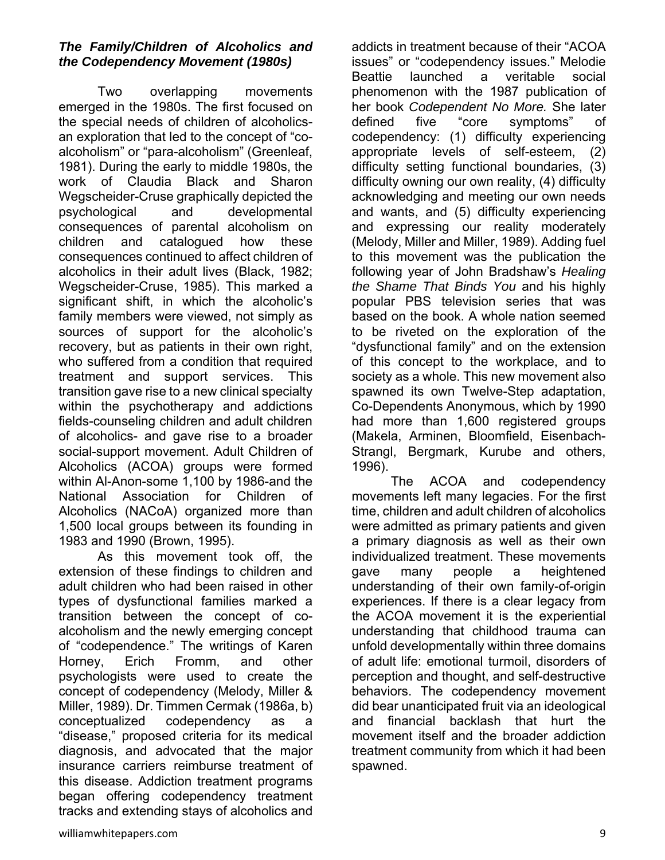## *The Family/Children of Alcoholics and the Codependency Movement (1980s)*

 Two overlapping movements emerged in the 1980s. The first focused on the special needs of children of alcoholicsan exploration that led to the concept of "coalcoholism" or "para-alcoholism" (Greenleaf, 1981). During the early to middle 1980s, the work of Claudia Black and Sharon Wegscheider-Cruse graphically depicted the psychological and developmental consequences of parental alcoholism on children and catalogued how these consequences continued to affect children of alcoholics in their adult lives (Black, 1982; Wegscheider-Cruse, 1985). This marked a significant shift, in which the alcoholic's family members were viewed, not simply as sources of support for the alcoholic's recovery, but as patients in their own right, who suffered from a condition that required treatment and support services. This transition gave rise to a new clinical specialty within the psychotherapy and addictions fields-counseling children and adult children of alcoholics- and gave rise to a broader social-support movement. Adult Children of Alcoholics (ACOA) groups were formed within Al-Anon-some 1,100 by 1986-and the National Association for Children of Alcoholics (NACoA) organized more than 1,500 local groups between its founding in 1983 and 1990 (Brown, 1995).

 As this movement took off, the extension of these findings to children and adult children who had been raised in other types of dysfunctional families marked a transition between the concept of coalcoholism and the newly emerging concept of "codependence." The writings of Karen Horney, Erich Fromm, and other psychologists were used to create the concept of codependency (Melody, Miller & Miller, 1989). Dr. Timmen Cermak (1986a, b) conceptualized codependency as a "disease," proposed criteria for its medical diagnosis, and advocated that the major insurance carriers reimburse treatment of this disease. Addiction treatment programs began offering codependency treatment tracks and extending stays of alcoholics and addicts in treatment because of their "ACOA issues" or "codependency issues." Melodie Beattie launched a veritable social phenomenon with the 1987 publication of her book *Codependent No More.* She later defined five "core symptoms" of codependency: (1) difficulty experiencing appropriate levels of self-esteem, (2) difficulty setting functional boundaries, (3) difficulty owning our own reality, (4) difficulty acknowledging and meeting our own needs and wants, and (5) difficulty experiencing and expressing our reality moderately (Melody, Miller and Miller, 1989). Adding fuel to this movement was the publication the following year of John Bradshaw's *Healing the Shame That Binds You* and his highly popular PBS television series that was based on the book. A whole nation seemed to be riveted on the exploration of the "dysfunctional family" and on the extension of this concept to the workplace, and to society as a whole. This new movement also spawned its own Twelve-Step adaptation, Co-Dependents Anonymous, which by 1990 had more than 1,600 registered groups (Makela, Arminen, Bloomfield, Eisenbach-Strangl, Bergmark, Kurube and others, 1996).

 The ACOA and codependency movements left many legacies. For the first time, children and adult children of alcoholics were admitted as primary patients and given a primary diagnosis as well as their own individualized treatment. These movements gave many people a heightened understanding of their own family-of-origin experiences. If there is a clear legacy from the ACOA movement it is the experiential understanding that childhood trauma can unfold developmentally within three domains of adult life: emotional turmoil, disorders of perception and thought, and self-destructive behaviors. The codependency movement did bear unanticipated fruit via an ideological and financial backlash that hurt the movement itself and the broader addiction treatment community from which it had been spawned.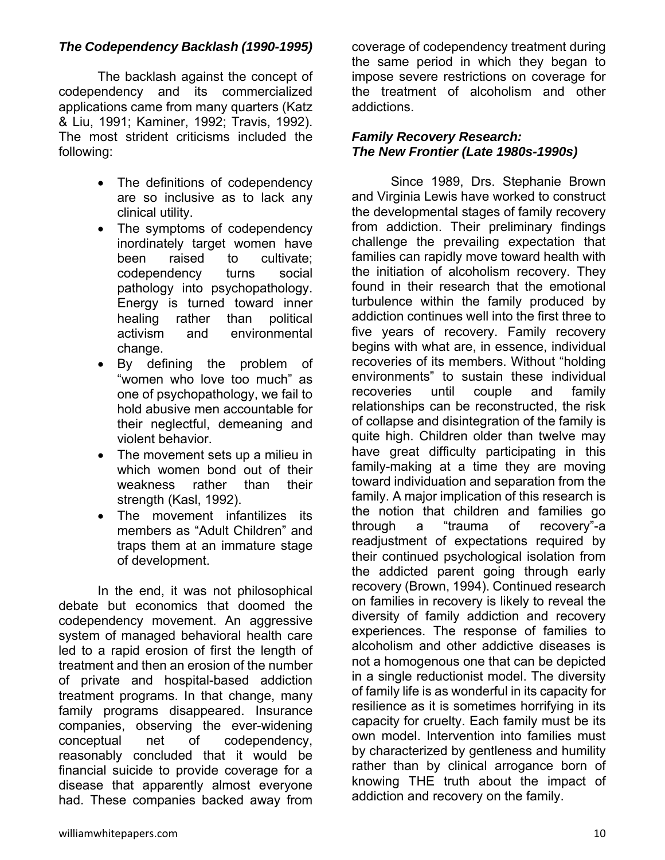# *The Codependency Backlash (1990-1995)*

 The backlash against the concept of codependency and its commercialized applications came from many quarters (Katz & Liu, 1991; Kaminer, 1992; Travis, 1992). The most strident criticisms included the following:

- The definitions of codependency are so inclusive as to lack any clinical utility.
- The symptoms of codependency inordinately target women have been raised to cultivate; codependency turns social pathology into psychopathology. Energy is turned toward inner healing rather than political activism and environmental change.
- By defining the problem of "women who love too much" as one of psychopathology, we fail to hold abusive men accountable for their neglectful, demeaning and violent behavior.
- The movement sets up a milieu in which women bond out of their weakness rather than their strength (Kasl, 1992).
- The movement infantilizes its members as "Adult Children" and traps them at an immature stage of development.

In the end, it was not philosophical debate but economics that doomed the codependency movement. An aggressive system of managed behavioral health care led to a rapid erosion of first the length of treatment and then an erosion of the number of private and hospital-based addiction treatment programs. In that change, many family programs disappeared. Insurance companies, observing the ever-widening conceptual net of codependency, reasonably concluded that it would be financial suicide to provide coverage for a disease that apparently almost everyone had. These companies backed away from coverage of codependency treatment during the same period in which they began to impose severe restrictions on coverage for the treatment of alcoholism and other addictions.

## *Family Recovery Research: The New Frontier (Late 1980s-1990s)*

Since 1989, Drs. Stephanie Brown and Virginia Lewis have worked to construct the developmental stages of family recovery from addiction. Their preliminary findings challenge the prevailing expectation that families can rapidly move toward health with the initiation of alcoholism recovery. They found in their research that the emotional turbulence within the family produced by addiction continues well into the first three to five years of recovery. Family recovery begins with what are, in essence, individual recoveries of its members. Without "holding environments" to sustain these individual recoveries until couple and family relationships can be reconstructed, the risk of collapse and disintegration of the family is quite high. Children older than twelve may have great difficulty participating in this family-making at a time they are moving toward individuation and separation from the family. A major implication of this research is the notion that children and families go through a "trauma of recovery"-a readjustment of expectations required by their continued psychological isolation from the addicted parent going through early recovery (Brown, 1994). Continued research on families in recovery is likely to reveal the diversity of family addiction and recovery experiences. The response of families to alcoholism and other addictive diseases is not a homogenous one that can be depicted in a single reductionist model. The diversity of family life is as wonderful in its capacity for resilience as it is sometimes horrifying in its capacity for cruelty. Each family must be its own model. Intervention into families must by characterized by gentleness and humility rather than by clinical arrogance born of knowing THE truth about the impact of addiction and recovery on the family.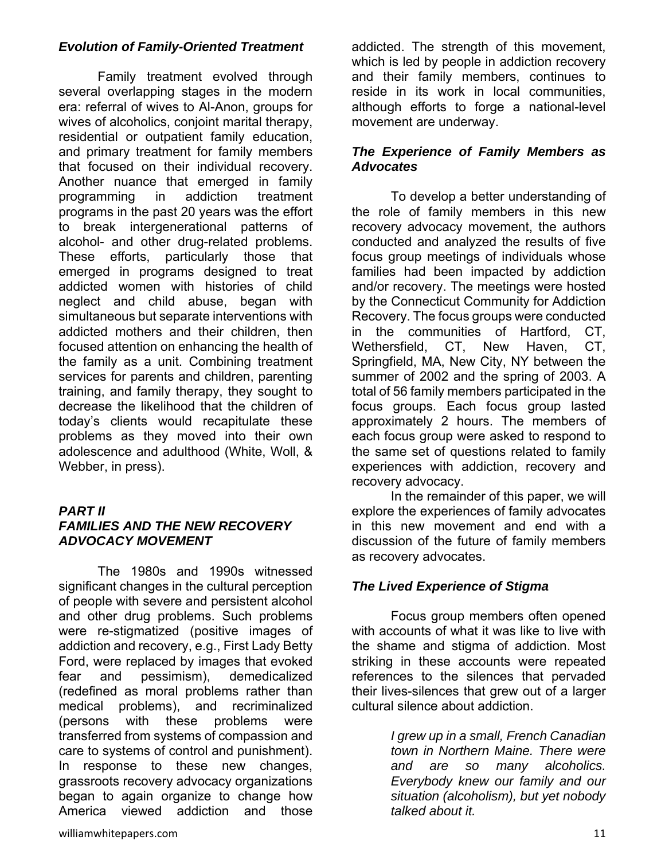## *Evolution of Family-Oriented Treatment*

Family treatment evolved through several overlapping stages in the modern era: referral of wives to Al-Anon, groups for wives of alcoholics, conjoint marital therapy, residential or outpatient family education, and primary treatment for family members that focused on their individual recovery. Another nuance that emerged in family programming in addiction treatment programs in the past 20 years was the effort to break intergenerational patterns of alcohol- and other drug-related problems. These efforts, particularly those that emerged in programs designed to treat addicted women with histories of child neglect and child abuse, began with simultaneous but separate interventions with addicted mothers and their children, then focused attention on enhancing the health of the family as a unit. Combining treatment services for parents and children, parenting training, and family therapy, they sought to decrease the likelihood that the children of today's clients would recapitulate these problems as they moved into their own adolescence and adulthood (White, Woll, & Webber, in press).

## *PART II*

## *FAMILIES AND THE NEW RECOVERY ADVOCACY MOVEMENT*

 The 1980s and 1990s witnessed significant changes in the cultural perception of people with severe and persistent alcohol and other drug problems. Such problems were re-stigmatized (positive images of addiction and recovery, e.g., First Lady Betty Ford, were replaced by images that evoked fear and pessimism), demedicalized (redefined as moral problems rather than medical problems), and recriminalized (persons with these problems were transferred from systems of compassion and care to systems of control and punishment). In response to these new changes, grassroots recovery advocacy organizations began to again organize to change how America viewed addiction and those

## *The Experience of Family Members as Advocates*

 To develop a better understanding of the role of family members in this new recovery advocacy movement, the authors conducted and analyzed the results of five focus group meetings of individuals whose families had been impacted by addiction and/or recovery. The meetings were hosted by the Connecticut Community for Addiction Recovery. The focus groups were conducted in the communities of Hartford, CT, Wethersfield, CT, New Haven, CT, Springfield, MA, New City, NY between the summer of 2002 and the spring of 2003. A total of 56 family members participated in the focus groups. Each focus group lasted approximately 2 hours. The members of each focus group were asked to respond to the same set of questions related to family experiences with addiction, recovery and recovery advocacy.

 In the remainder of this paper, we will explore the experiences of family advocates in this new movement and end with a discussion of the future of family members as recovery advocates.

## *The Lived Experience of Stigma*

 Focus group members often opened with accounts of what it was like to live with the shame and stigma of addiction. Most striking in these accounts were repeated references to the silences that pervaded their lives-silences that grew out of a larger cultural silence about addiction.

> *I grew up in a small, French Canadian town in Northern Maine. There were and are so many alcoholics. Everybody knew our family and our situation (alcoholism), but yet nobody talked about it.*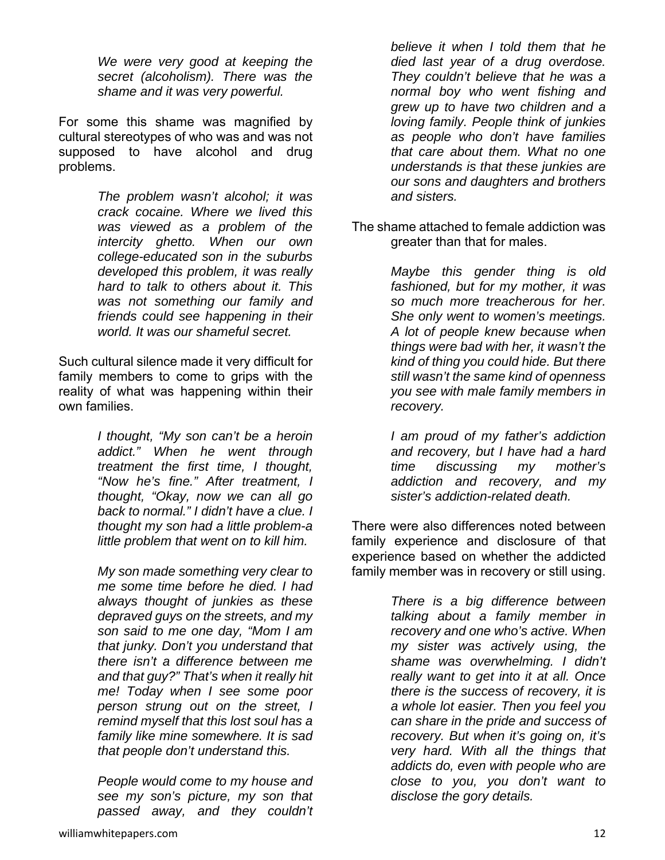*We were very good at keeping the secret (alcoholism). There was the shame and it was very powerful.* 

For some this shame was magnified by cultural stereotypes of who was and was not supposed to have alcohol and drug problems.

> *The problem wasn't alcohol; it was crack cocaine. Where we lived this was viewed as a problem of the intercity ghetto. When our own college-educated son in the suburbs developed this problem, it was really hard to talk to others about it. This was not something our family and friends could see happening in their world. It was our shameful secret.*

Such cultural silence made it very difficult for family members to come to grips with the reality of what was happening within their own families.

> *I thought, "My son can't be a heroin addict." When he went through treatment the first time, I thought, "Now he's fine." After treatment, I thought, "Okay, now we can all go back to normal." I didn't have a clue. I thought my son had a little problem-a little problem that went on to kill him.*

> *My son made something very clear to me some time before he died. I had always thought of junkies as these depraved guys on the streets, and my son said to me one day, "Mom I am that junky. Don't you understand that there isn't a difference between me and that guy?" That's when it really hit me! Today when I see some poor person strung out on the street, I remind myself that this lost soul has a family like mine somewhere. It is sad that people don't understand this.*

> *People would come to my house and see my son's picture, my son that passed away, and they couldn't*

*believe it when I told them that he died last year of a drug overdose. They couldn't believe that he was a normal boy who went fishing and grew up to have two children and a loving family. People think of junkies as people who don't have families that care about them. What no one understands is that these junkies are our sons and daughters and brothers and sisters.* 

The shame attached to female addiction was greater than that for males.

> *Maybe this gender thing is old fashioned, but for my mother, it was so much more treacherous for her. She only went to women's meetings. A lot of people knew because when things were bad with her, it wasn't the kind of thing you could hide. But there still wasn't the same kind of openness you see with male family members in recovery.*

> *I am proud of my father's addiction and recovery, but I have had a hard time discussing my mother's addiction and recovery, and my sister's addiction-related death.*

There were also differences noted between family experience and disclosure of that experience based on whether the addicted family member was in recovery or still using.

> *There is a big difference between talking about a family member in recovery and one who's active. When my sister was actively using, the shame was overwhelming. I didn't really want to get into it at all. Once there is the success of recovery, it is a whole lot easier. Then you feel you can share in the pride and success of recovery. But when it's going on, it's very hard. With all the things that addicts do, even with people who are close to you, you don't want to disclose the gory details.*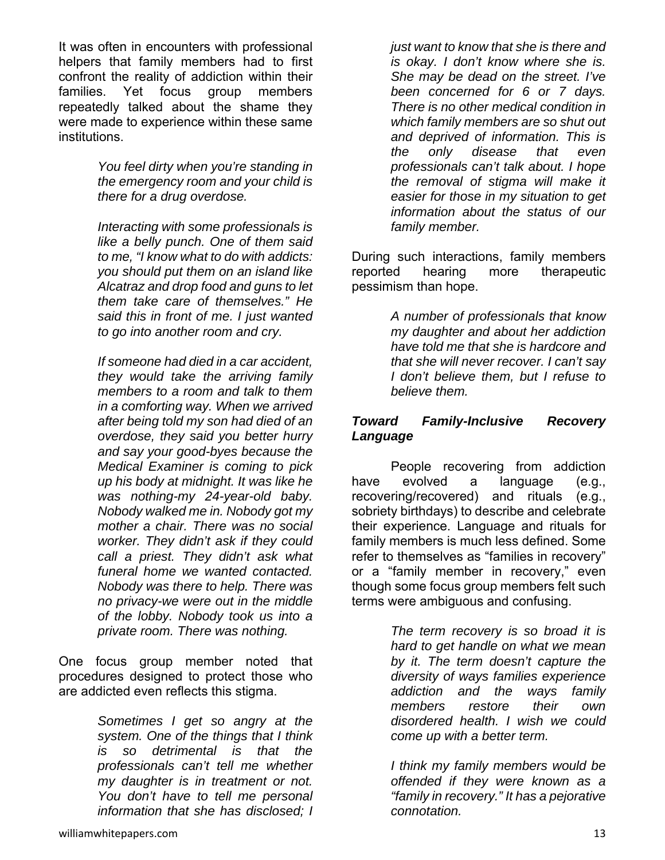It was often in encounters with professional helpers that family members had to first confront the reality of addiction within their families. Yet focus group members repeatedly talked about the shame they were made to experience within these same institutions.

> *You feel dirty when you're standing in the emergency room and your child is there for a drug overdose.*

> *Interacting with some professionals is like a belly punch. One of them said to me, "I know what to do with addicts: you should put them on an island like Alcatraz and drop food and guns to let them take care of themselves." He said this in front of me. I just wanted to go into another room and cry.*

> *If someone had died in a car accident, they would take the arriving family members to a room and talk to them in a comforting way. When we arrived after being told my son had died of an overdose, they said you better hurry and say your good-byes because the Medical Examiner is coming to pick up his body at midnight. It was like he was nothing-my 24-year-old baby. Nobody walked me in. Nobody got my mother a chair. There was no social worker. They didn't ask if they could call a priest. They didn't ask what funeral home we wanted contacted. Nobody was there to help. There was no privacy-we were out in the middle of the lobby. Nobody took us into a private room. There was nothing.*

One focus group member noted that procedures designed to protect those who are addicted even reflects this stigma.

> *Sometimes I get so angry at the system. One of the things that I think is so detrimental is that the professionals can't tell me whether my daughter is in treatment or not. You don't have to tell me personal information that she has disclosed; I*

*just want to know that she is there and is okay. I don't know where she is. She may be dead on the street. I've been concerned for 6 or 7 days. There is no other medical condition in which family members are so shut out and deprived of information. This is the only disease that even professionals can't talk about. I hope the removal of stigma will make it easier for those in my situation to get information about the status of our family member.* 

During such interactions, family members reported hearing more therapeutic pessimism than hope.

> *A number of professionals that know my daughter and about her addiction have told me that she is hardcore and that she will never recover. I can't say I don't believe them, but I refuse to believe them.*

## *Toward Family-Inclusive Recovery Language*

People recovering from addiction have evolved a language (e.g., recovering/recovered) and rituals (e.g., sobriety birthdays) to describe and celebrate their experience. Language and rituals for family members is much less defined. Some refer to themselves as "families in recovery" or a "family member in recovery," even though some focus group members felt such terms were ambiguous and confusing.

> *The term recovery is so broad it is hard to get handle on what we mean by it. The term doesn't capture the diversity of ways families experience addiction and the ways family members restore their own disordered health. I wish we could come up with a better term.*

> *I think my family members would be offended if they were known as a "family in recovery." It has a pejorative connotation.*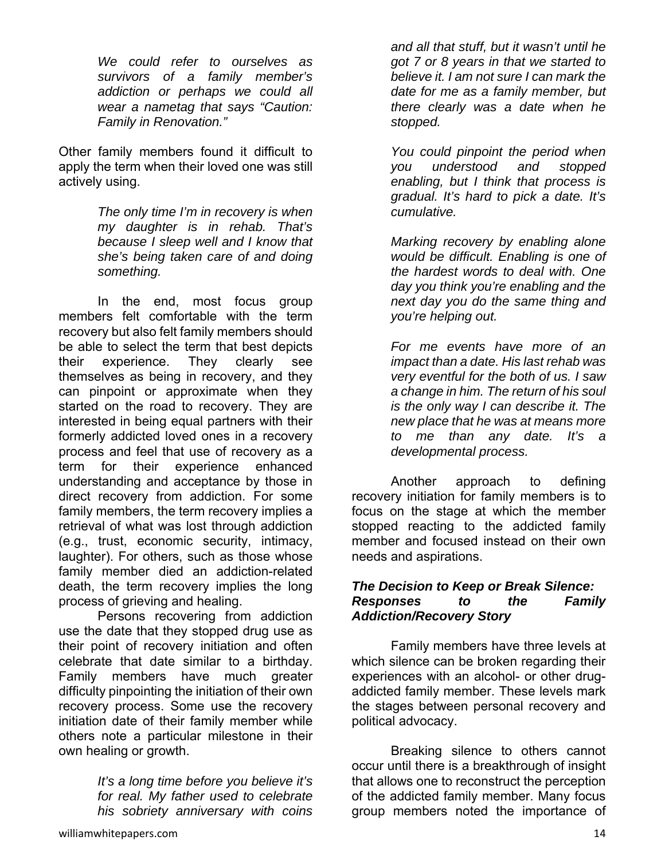*We could refer to ourselves as survivors of a family member's addiction or perhaps we could all wear a nametag that says "Caution: Family in Renovation."* 

Other family members found it difficult to apply the term when their loved one was still actively using.

> *The only time I'm in recovery is when my daughter is in rehab. That's because I sleep well and I know that she's being taken care of and doing something.*

 In the end, most focus group members felt comfortable with the term recovery but also felt family members should be able to select the term that best depicts their experience. They clearly see themselves as being in recovery, and they can pinpoint or approximate when they started on the road to recovery. They are interested in being equal partners with their formerly addicted loved ones in a recovery process and feel that use of recovery as a term for their experience enhanced understanding and acceptance by those in direct recovery from addiction. For some family members, the term recovery implies a retrieval of what was lost through addiction (e.g., trust, economic security, intimacy, laughter). For others, such as those whose family member died an addiction-related death, the term recovery implies the long process of grieving and healing.

 Persons recovering from addiction use the date that they stopped drug use as their point of recovery initiation and often celebrate that date similar to a birthday. Family members have much greater difficulty pinpointing the initiation of their own recovery process. Some use the recovery initiation date of their family member while others note a particular milestone in their own healing or growth.

> *It's a long time before you believe it's for real. My father used to celebrate his sobriety anniversary with coins*

*and all that stuff, but it wasn't until he got 7 or 8 years in that we started to believe it. I am not sure I can mark the date for me as a family member, but there clearly was a date when he stopped.* 

*You could pinpoint the period when you understood and stopped enabling, but I think that process is gradual. It's hard to pick a date. It's cumulative.* 

*Marking recovery by enabling alone would be difficult. Enabling is one of the hardest words to deal with. One day you think you're enabling and the next day you do the same thing and you're helping out.* 

*For me events have more of an impact than a date. His last rehab was very eventful for the both of us. I saw a change in him. The return of his soul is the only way I can describe it. The new place that he was at means more to me than any date. It's a developmental process.* 

 Another approach to defining recovery initiation for family members is to focus on the stage at which the member stopped reacting to the addicted family member and focused instead on their own needs and aspirations.

#### *The Decision to Keep or Break Silence: Responses to the Family Addiction/Recovery Story*

 Family members have three levels at which silence can be broken regarding their experiences with an alcohol- or other drugaddicted family member. These levels mark the stages between personal recovery and political advocacy.

 Breaking silence to others cannot occur until there is a breakthrough of insight that allows one to reconstruct the perception of the addicted family member. Many focus group members noted the importance of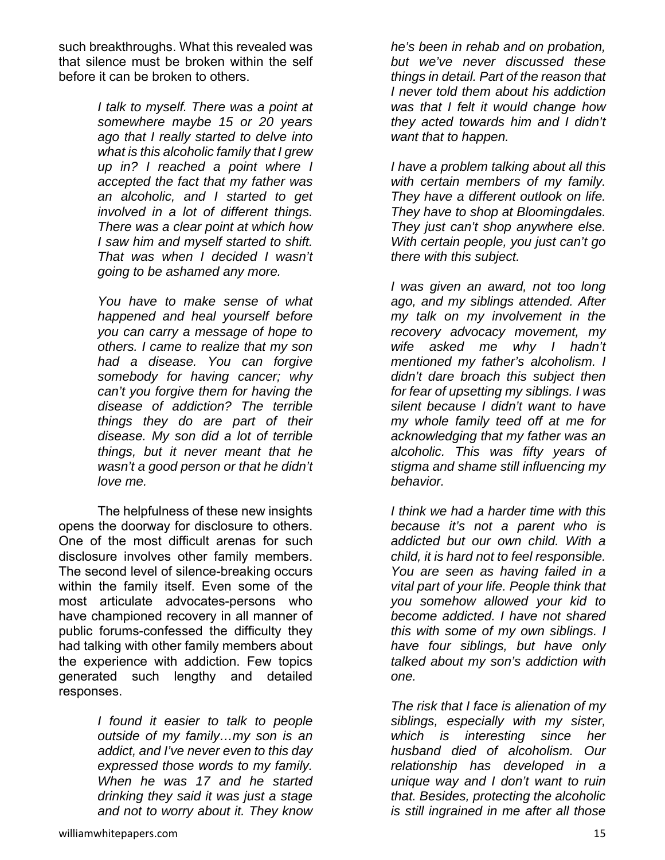such breakthroughs. What this revealed was that silence must be broken within the self before it can be broken to others.

> *I talk to myself. There was a point at somewhere maybe 15 or 20 years ago that I really started to delve into what is this alcoholic family that I grew up in? I reached a point where I accepted the fact that my father was an alcoholic, and I started to get involved in a lot of different things. There was a clear point at which how I saw him and myself started to shift. That was when I decided I wasn't going to be ashamed any more.*

 *You have to make sense of what happened and heal yourself before you can carry a message of hope to others. I came to realize that my son had a disease. You can forgive somebody for having cancer; why can't you forgive them for having the disease of addiction? The terrible things they do are part of their disease. My son did a lot of terrible things, but it never meant that he wasn't a good person or that he didn't love me.* 

The helpfulness of these new insights opens the doorway for disclosure to others. One of the most difficult arenas for such disclosure involves other family members. The second level of silence-breaking occurs within the family itself. Even some of the most articulate advocates-persons who have championed recovery in all manner of public forums-confessed the difficulty they had talking with other family members about the experience with addiction. Few topics generated such lengthy and detailed responses.

> *I found it easier to talk to people outside of my family…my son is an addict, and I've never even to this day expressed those words to my family. When he was 17 and he started drinking they said it was just a stage and not to worry about it. They know*

*he's been in rehab and on probation, but we've never discussed these things in detail. Part of the reason that I never told them about his addiction was that I felt it would change how they acted towards him and I didn't want that to happen.* 

 *I have a problem talking about all this with certain members of my family. They have a different outlook on life. They have to shop at Bloomingdales. They just can't shop anywhere else. With certain people, you just can't go there with this subject.* 

 *I was given an award, not too long ago, and my siblings attended. After my talk on my involvement in the recovery advocacy movement, my wife asked me why I hadn't mentioned my father's alcoholism. I didn't dare broach this subject then for fear of upsetting my siblings. I was silent because I didn't want to have my whole family teed off at me for acknowledging that my father was an alcoholic. This was fifty years of stigma and shame still influencing my behavior.* 

 *I think we had a harder time with this because it's not a parent who is addicted but our own child. With a child, it is hard not to feel responsible. You are seen as having failed in a vital part of your life. People think that you somehow allowed your kid to become addicted. I have not shared this with some of my own siblings. I have four siblings, but have only talked about my son's addiction with one.* 

 *The risk that I face is alienation of my siblings, especially with my sister, which is interesting since her husband died of alcoholism. Our relationship has developed in a unique way and I don't want to ruin that. Besides, protecting the alcoholic is still ingrained in me after all those*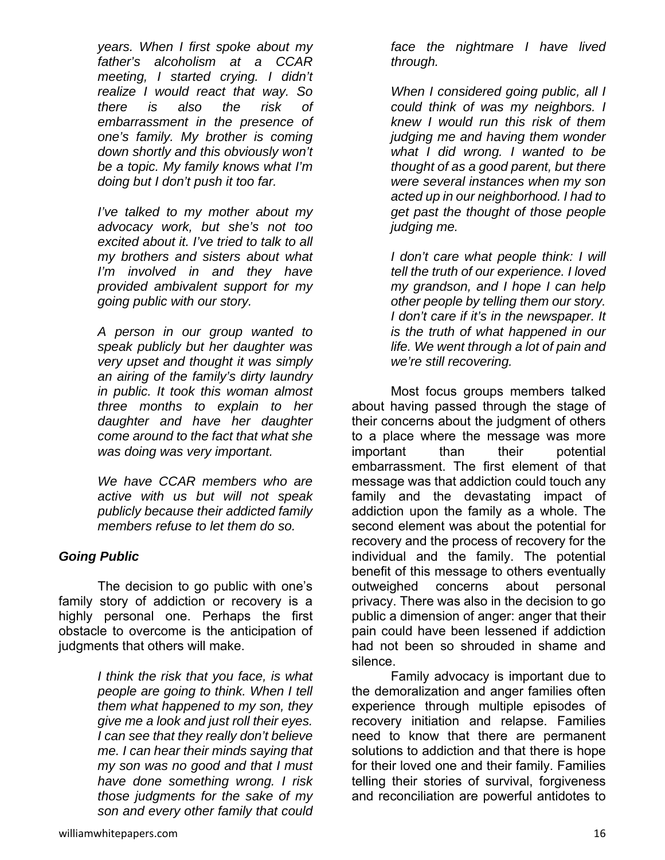*years. When I first spoke about my father's alcoholism at a CCAR meeting, I started crying. I didn't realize I would react that way. So there is also the risk of embarrassment in the presence of one's family. My brother is coming down shortly and this obviously won't be a topic. My family knows what I'm doing but I don't push it too far.* 

 *I've talked to my mother about my advocacy work, but she's not too excited about it. I've tried to talk to all my brothers and sisters about what I'm involved in and they have provided ambivalent support for my going public with our story.* 

 *A person in our group wanted to speak publicly but her daughter was very upset and thought it was simply an airing of the family's dirty laundry in public. It took this woman almost three months to explain to her daughter and have her daughter come around to the fact that what she was doing was very important.* 

 *We have CCAR members who are active with us but will not speak publicly because their addicted family members refuse to let them do so.* 

## *Going Public*

 The decision to go public with one's family story of addiction or recovery is a highly personal one. Perhaps the first obstacle to overcome is the anticipation of judgments that others will make.

> *I think the risk that you face, is what people are going to think. When I tell them what happened to my son, they give me a look and just roll their eyes. I can see that they really don't believe me. I can hear their minds saying that my son was no good and that I must have done something wrong. I risk those judgments for the sake of my son and every other family that could*

*face the nightmare I have lived through.* 

 *When I considered going public, all I could think of was my neighbors. I knew I would run this risk of them judging me and having them wonder what I did wrong. I wanted to be thought of as a good parent, but there were several instances when my son acted up in our neighborhood. I had to get past the thought of those people judging me.* 

 *I don't care what people think: I will tell the truth of our experience. I loved my grandson, and I hope I can help other people by telling them our story. I don't care if it's in the newspaper. It is the truth of what happened in our life. We went through a lot of pain and we're still recovering.* 

Most focus groups members talked about having passed through the stage of their concerns about the judgment of others to a place where the message was more important than their potential embarrassment. The first element of that message was that addiction could touch any family and the devastating impact of addiction upon the family as a whole. The second element was about the potential for recovery and the process of recovery for the individual and the family. The potential benefit of this message to others eventually outweighed concerns about personal privacy. There was also in the decision to go public a dimension of anger: anger that their pain could have been lessened if addiction had not been so shrouded in shame and silence.

 Family advocacy is important due to the demoralization and anger families often experience through multiple episodes of recovery initiation and relapse. Families need to know that there are permanent solutions to addiction and that there is hope for their loved one and their family. Families telling their stories of survival, forgiveness and reconciliation are powerful antidotes to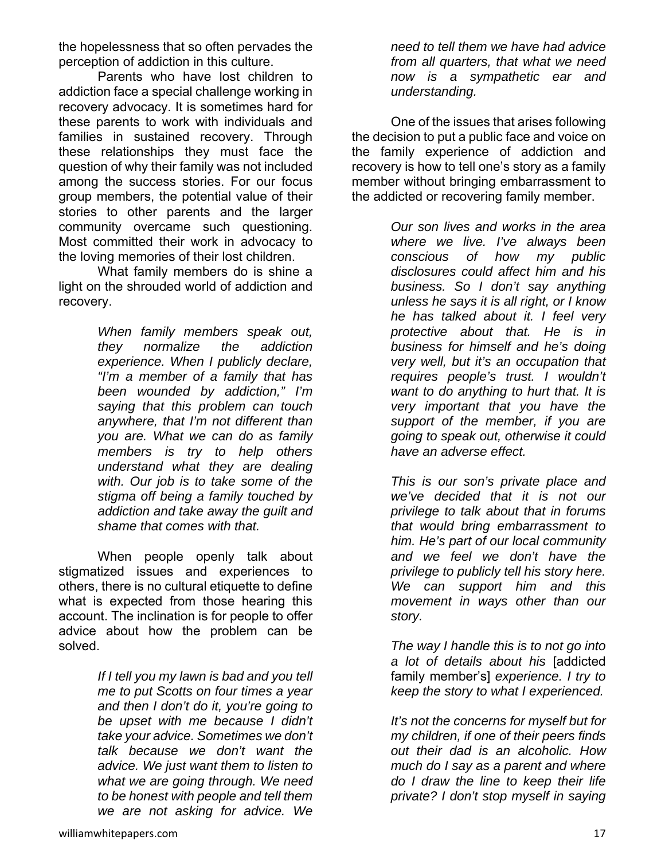the hopelessness that so often pervades the perception of addiction in this culture.

 Parents who have lost children to addiction face a special challenge working in recovery advocacy. It is sometimes hard for these parents to work with individuals and families in sustained recovery. Through these relationships they must face the question of why their family was not included among the success stories. For our focus group members, the potential value of their stories to other parents and the larger community overcame such questioning. Most committed their work in advocacy to the loving memories of their lost children.

 What family members do is shine a light on the shrouded world of addiction and recovery.

> *When family members speak out, they normalize the addiction experience. When I publicly declare, "I'm a member of a family that has been wounded by addiction," I'm saying that this problem can touch anywhere, that I'm not different than you are. What we can do as family members is try to help others understand what they are dealing with. Our job is to take some of the stigma off being a family touched by addiction and take away the guilt and shame that comes with that.*

 When people openly talk about stigmatized issues and experiences to others, there is no cultural etiquette to define what is expected from those hearing this account. The inclination is for people to offer advice about how the problem can be solved.

> *If I tell you my lawn is bad and you tell me to put Scotts on four times a year and then I don't do it, you're going to be upset with me because I didn't take your advice. Sometimes we don't talk because we don't want the advice. We just want them to listen to what we are going through. We need to be honest with people and tell them we are not asking for advice. We*

*need to tell them we have had advice from all quarters, that what we need now is a sympathetic ear and understanding.* 

 One of the issues that arises following the decision to put a public face and voice on the family experience of addiction and recovery is how to tell one's story as a family member without bringing embarrassment to the addicted or recovering family member.

> *Our son lives and works in the area where we live. I've always been conscious of how my public disclosures could affect him and his business. So I don't say anything unless he says it is all right, or I know he has talked about it. I feel very protective about that. He is in business for himself and he's doing very well, but it's an occupation that requires people's trust. I wouldn't want to do anything to hurt that. It is very important that you have the support of the member, if you are going to speak out, otherwise it could have an adverse effect.*

> *This is our son's private place and we've decided that it is not our privilege to talk about that in forums that would bring embarrassment to him. He's part of our local community and we feel we don't have the privilege to publicly tell his story here. We can support him and this movement in ways other than our story.*

> *The way I handle this is to not go into a lot of details about his* [addicted family member's] *experience. I try to keep the story to what I experienced.*

> *It's not the concerns for myself but for my children, if one of their peers finds out their dad is an alcoholic. How much do I say as a parent and where do I draw the line to keep their life private? I don't stop myself in saying*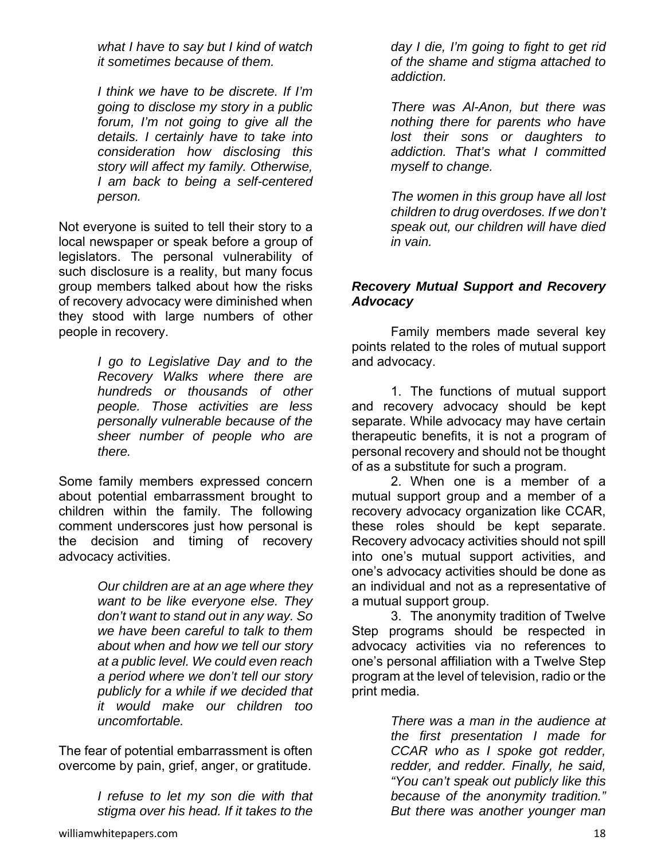*what I have to say but I kind of watch it sometimes because of them.* 

 *I think we have to be discrete. If I'm going to disclose my story in a public forum, I'm not going to give all the details. I certainly have to take into consideration how disclosing this story will affect my family. Otherwise, I am back to being a self-centered person.* 

Not everyone is suited to tell their story to a local newspaper or speak before a group of legislators. The personal vulnerability of such disclosure is a reality, but many focus group members talked about how the risks of recovery advocacy were diminished when they stood with large numbers of other people in recovery.

> *I go to Legislative Day and to the Recovery Walks where there are hundreds or thousands of other people. Those activities are less personally vulnerable because of the sheer number of people who are there.*

Some family members expressed concern about potential embarrassment brought to children within the family. The following comment underscores just how personal is the decision and timing of recovery advocacy activities.

> *Our children are at an age where they want to be like everyone else. They don't want to stand out in any way. So we have been careful to talk to them about when and how we tell our story at a public level. We could even reach a period where we don't tell our story publicly for a while if we decided that it would make our children too uncomfortable.*

The fear of potential embarrassment is often overcome by pain, grief, anger, or gratitude.

> *I refuse to let my son die with that stigma over his head. If it takes to the*

*day I die, I'm going to fight to get rid of the shame and stigma attached to addiction.* 

 *There was Al-Anon, but there was nothing there for parents who have lost their sons or daughters to addiction. That's what I committed myself to change.* 

 *The women in this group have all lost children to drug overdoses. If we don't speak out, our children will have died in vain.* 

## *Recovery Mutual Support and Recovery Advocacy*

 Family members made several key points related to the roles of mutual support and advocacy.

1. The functions of mutual support and recovery advocacy should be kept separate. While advocacy may have certain therapeutic benefits, it is not a program of personal recovery and should not be thought of as a substitute for such a program.

2. When one is a member of a mutual support group and a member of a recovery advocacy organization like CCAR, these roles should be kept separate. Recovery advocacy activities should not spill into one's mutual support activities, and one's advocacy activities should be done as an individual and not as a representative of a mutual support group.

3. The anonymity tradition of Twelve Step programs should be respected in advocacy activities via no references to one's personal affiliation with a Twelve Step program at the level of television, radio or the print media.

> *There was a man in the audience at the first presentation I made for CCAR who as I spoke got redder, redder, and redder. Finally, he said, "You can't speak out publicly like this because of the anonymity tradition." But there was another younger man*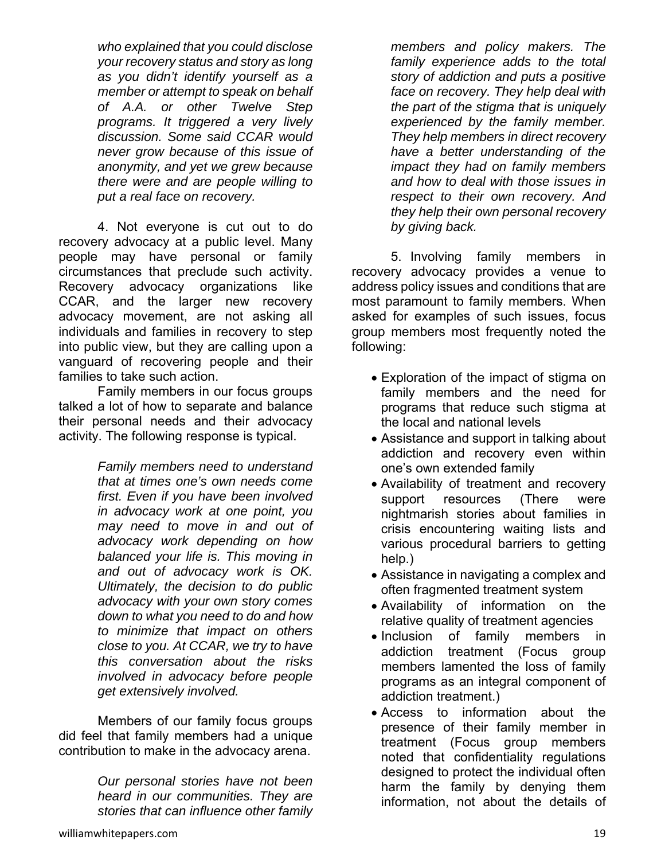*who explained that you could disclose your recovery status and story as long as you didn't identify yourself as a member or attempt to speak on behalf of A.A. or other Twelve Step programs. It triggered a very lively discussion. Some said CCAR would never grow because of this issue of anonymity, and yet we grew because there were and are people willing to put a real face on recovery.* 

4. Not everyone is cut out to do recovery advocacy at a public level. Many people may have personal or family circumstances that preclude such activity. Recovery advocacy organizations like CCAR, and the larger new recovery advocacy movement, are not asking all individuals and families in recovery to step into public view, but they are calling upon a vanguard of recovering people and their families to take such action.

Family members in our focus groups talked a lot of how to separate and balance their personal needs and their advocacy activity. The following response is typical.

> *Family members need to understand that at times one's own needs come first. Even if you have been involved in advocacy work at one point, you may need to move in and out of advocacy work depending on how balanced your life is. This moving in and out of advocacy work is OK. Ultimately, the decision to do public advocacy with your own story comes down to what you need to do and how to minimize that impact on others close to you. At CCAR, we try to have this conversation about the risks involved in advocacy before people get extensively involved.*

 Members of our family focus groups did feel that family members had a unique contribution to make in the advocacy arena.

> *Our personal stories have not been heard in our communities. They are stories that can influence other family*

*members and policy makers. The family experience adds to the total story of addiction and puts a positive face on recovery. They help deal with the part of the stigma that is uniquely experienced by the family member. They help members in direct recovery have a better understanding of the impact they had on family members and how to deal with those issues in respect to their own recovery. And they help their own personal recovery by giving back.* 

5. Involving family members in recovery advocacy provides a venue to address policy issues and conditions that are most paramount to family members. When asked for examples of such issues, focus group members most frequently noted the following:

- Exploration of the impact of stigma on family members and the need for programs that reduce such stigma at the local and national levels
- Assistance and support in talking about addiction and recovery even within one's own extended family
- Availability of treatment and recovery support resources (There were nightmarish stories about families in crisis encountering waiting lists and various procedural barriers to getting help.)
- Assistance in navigating a complex and often fragmented treatment system
- Availability of information on the relative quality of treatment agencies
- Inclusion of family members in addiction treatment (Focus group members lamented the loss of family programs as an integral component of addiction treatment.)
- Access to information about the presence of their family member in treatment (Focus group members noted that confidentiality regulations designed to protect the individual often harm the family by denying them information, not about the details of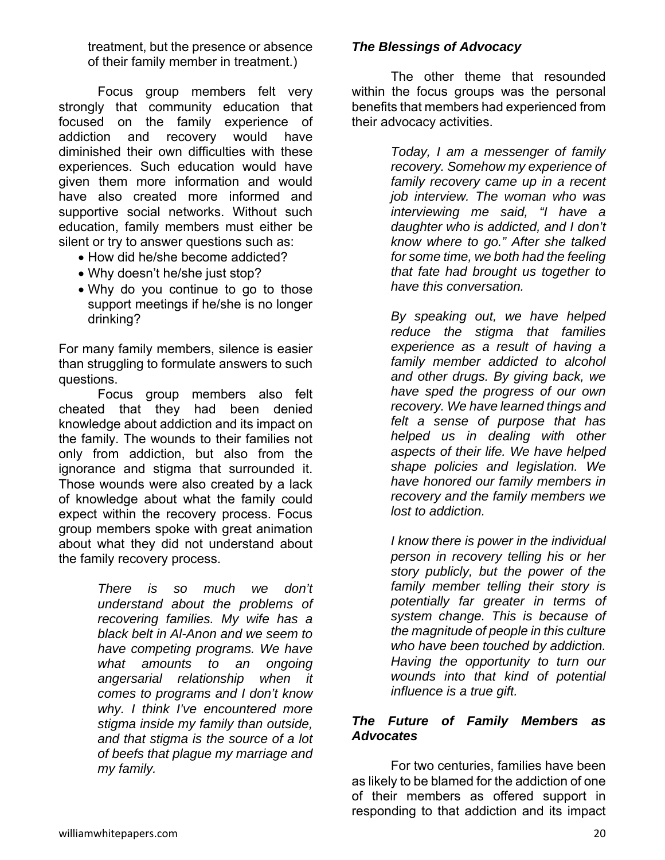treatment, but the presence or absence of their family member in treatment.)

Focus group members felt very strongly that community education that focused on the family experience of addiction and recovery would have diminished their own difficulties with these experiences. Such education would have given them more information and would have also created more informed and supportive social networks. Without such education, family members must either be silent or try to answer questions such as:

- How did he/she become addicted?
- Why doesn't he/she just stop?
- Why do you continue to go to those support meetings if he/she is no longer drinking?

For many family members, silence is easier than struggling to formulate answers to such questions.

 Focus group members also felt cheated that they had been denied knowledge about addiction and its impact on the family. The wounds to their families not only from addiction, but also from the ignorance and stigma that surrounded it. Those wounds were also created by a lack of knowledge about what the family could expect within the recovery process. Focus group members spoke with great animation about what they did not understand about the family recovery process.

> *There is so much we don't understand about the problems of recovering families. My wife has a black belt in Al-Anon and we seem to have competing programs. We have what amounts to an ongoing angersarial relationship when it comes to programs and I don't know why. I think I've encountered more stigma inside my family than outside, and that stigma is the source of a lot of beefs that plague my marriage and my family.*

## *The Blessings of Advocacy*

The other theme that resounded within the focus groups was the personal benefits that members had experienced from their advocacy activities.

> *Today, I am a messenger of family recovery. Somehow my experience of family recovery came up in a recent job interview. The woman who was interviewing me said, "I have a daughter who is addicted, and I don't know where to go." After she talked for some time, we both had the feeling that fate had brought us together to have this conversation.*

> *By speaking out, we have helped reduce the stigma that families experience as a result of having a family member addicted to alcohol and other drugs. By giving back, we have sped the progress of our own recovery. We have learned things and felt a sense of purpose that has helped us in dealing with other aspects of their life. We have helped shape policies and legislation. We have honored our family members in recovery and the family members we lost to addiction.*

> *I know there is power in the individual person in recovery telling his or her story publicly, but the power of the family member telling their story is potentially far greater in terms of system change. This is because of the magnitude of people in this culture who have been touched by addiction. Having the opportunity to turn our wounds into that kind of potential influence is a true gift.*

## *The Future of Family Members as Advocates*

For two centuries, families have been as likely to be blamed for the addiction of one of their members as offered support in responding to that addiction and its impact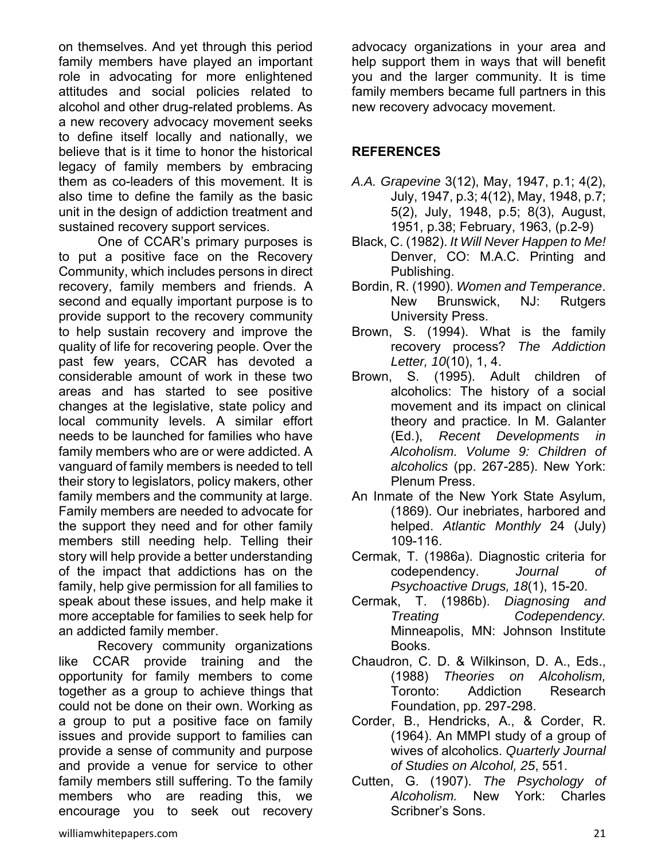on themselves. And yet through this period family members have played an important role in advocating for more enlightened attitudes and social policies related to alcohol and other drug-related problems. As a new recovery advocacy movement seeks to define itself locally and nationally, we believe that is it time to honor the historical legacy of family members by embracing them as co-leaders of this movement. It is also time to define the family as the basic unit in the design of addiction treatment and sustained recovery support services.

 One of CCAR's primary purposes is to put a positive face on the Recovery Community, which includes persons in direct recovery, family members and friends. A second and equally important purpose is to provide support to the recovery community to help sustain recovery and improve the quality of life for recovering people. Over the past few years, CCAR has devoted a considerable amount of work in these two areas and has started to see positive changes at the legislative, state policy and local community levels. A similar effort needs to be launched for families who have family members who are or were addicted. A vanguard of family members is needed to tell their story to legislators, policy makers, other family members and the community at large. Family members are needed to advocate for the support they need and for other family members still needing help. Telling their story will help provide a better understanding of the impact that addictions has on the family, help give permission for all families to speak about these issues, and help make it more acceptable for families to seek help for an addicted family member.

 Recovery community organizations like CCAR provide training and the opportunity for family members to come together as a group to achieve things that could not be done on their own. Working as a group to put a positive face on family issues and provide support to families can provide a sense of community and purpose and provide a venue for service to other family members still suffering. To the family members who are reading this, we encourage you to seek out recovery

advocacy organizations in your area and help support them in ways that will benefit you and the larger community. It is time family members became full partners in this new recovery advocacy movement.

## **REFERENCES**

- *A.A. Grapevine* 3(12), May, 1947, p.1; 4(2), July, 1947, p.3; 4(12), May, 1948, p.7; 5(2), July, 1948, p.5; 8(3), August, 1951, p.38; February, 1963, (p.2-9)
- Black, C. (1982). *It Will Never Happen to Me!* Denver, CO: M.A.C. Printing and Publishing.
- Bordin, R. (1990). *Women and Temperance*. New Brunswick, NJ: Rutgers University Press.
- Brown, S. (1994). What is the family recovery process? *The Addiction Letter, 10*(10), 1, 4.
- Brown, S. (1995). Adult children of alcoholics: The history of a social movement and its impact on clinical theory and practice. In M. Galanter (Ed.), *Recent Developments in Alcoholism. Volume 9: Children of alcoholics* (pp. 267-285). New York: Plenum Press.
- An Inmate of the New York State Asylum, (1869). Our inebriates, harbored and helped. *Atlantic Monthly* 24 (July) 109-116.
- Cermak, T. (1986a). Diagnostic criteria for codependency. *Journal of Psychoactive Drugs, 18*(1), 15-20.
- Cermak, T. (1986b). *Diagnosing and Treating Codependency.*  Minneapolis, MN: Johnson Institute Books.
- Chaudron, C. D. & Wilkinson, D. A., Eds., (1988) *Theories on Alcoholism,*  Toronto: Addiction Research Foundation, pp. 297-298.
- Corder, B., Hendricks, A., & Corder, R. (1964). An MMPI study of a group of wives of alcoholics. *Quarterly Journal of Studies on Alcohol, 25*, 551.
- Cutten, G. (1907). *The Psychology of Alcoholism.* New York: Charles Scribner's Sons.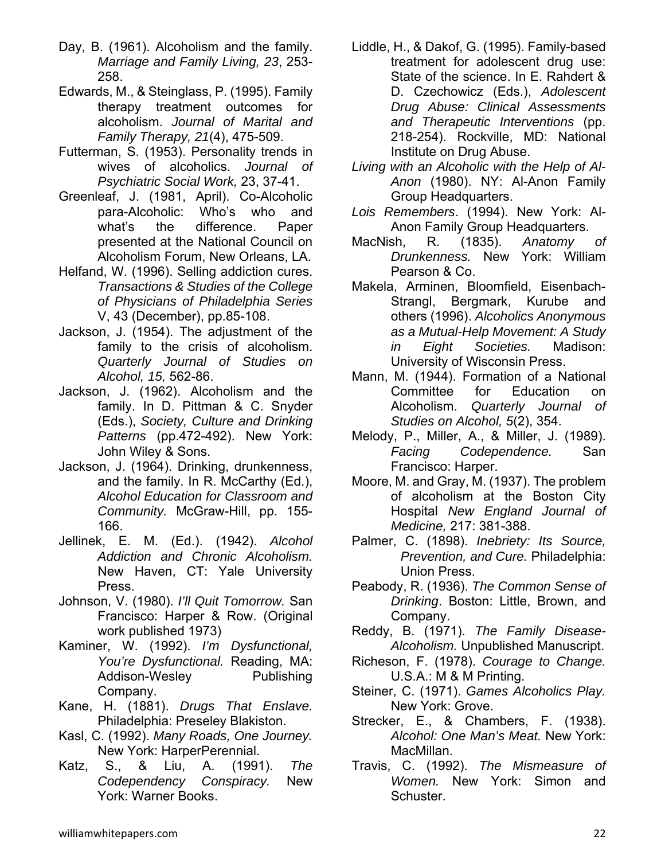- Day, B. (1961). Alcoholism and the family. *Marriage and Family Living, 23*, 253- 258.
- Edwards, M., & Steinglass, P. (1995). Family therapy treatment outcomes for alcoholism. *Journal of Marital and Family Therapy, 21*(4), 475-509.
- Futterman, S. (1953). Personality trends in wives of alcoholics. *Journal of Psychiatric Social Work,* 23, 37-41.
- Greenleaf, J. (1981, April). Co-Alcoholic para-Alcoholic: Who's who and what's the difference. Paper presented at the National Council on Alcoholism Forum, New Orleans, LA.
- Helfand, W. (1996). Selling addiction cures. *Transactions & Studies of the College of Physicians of Philadelphia Series*  V, 43 (December), pp.85-108.
- Jackson, J. (1954). The adjustment of the family to the crisis of alcoholism. *Quarterly Journal of Studies on Alcohol, 15,* 562-86.
- Jackson, J. (1962). Alcoholism and the family. In D. Pittman & C. Snyder (Eds.), *Society, Culture and Drinking Patterns* (pp.472-492). New York: John Wiley & Sons.
- Jackson, J. (1964). Drinking, drunkenness, and the family. In R. McCarthy (Ed.), *Alcohol Education for Classroom and Community.* McGraw-Hill, pp. 155- 166.
- Jellinek, E. M. (Ed.). (1942). *Alcohol Addiction and Chronic Alcoholism.*  New Haven, CT: Yale University Press.
- Johnson, V. (1980). *I'll Quit Tomorrow.* San Francisco: Harper & Row. (Original work published 1973)
- Kaminer, W. (1992). *I'm Dysfunctional, You're Dysfunctional.* Reading, MA: Addison-Wesley Publishing Company.
- Kane, H. (1881). *Drugs That Enslave.*  Philadelphia: Preseley Blakiston.
- Kasl, C. (1992). *Many Roads, One Journey.*  New York: HarperPerennial.
- Katz, S., & Liu, A. (1991). *The Codependency Conspiracy.* New York: Warner Books.
- Liddle, H., & Dakof, G. (1995). Family-based treatment for adolescent drug use: State of the science. In E. Rahdert & D. Czechowicz (Eds.), *Adolescent Drug Abuse: Clinical Assessments and Therapeutic Interventions* (pp. 218-254). Rockville, MD: National Institute on Drug Abuse.
- *Living with an Alcoholic with the Help of Al-Anon* (1980). NY: Al-Anon Family Group Headquarters.
- *Lois Remembers*. (1994). New York: Al-Anon Family Group Headquarters.
- MacNish, R. (1835). *Anatomy of Drunkenness.* New York: William Pearson & Co.
- Makela, Arminen, Bloomfield, Eisenbach-Strangl, Bergmark, Kurube and others (1996). *Alcoholics Anonymous as a Mutual-Help Movement: A Study in Eight Societies.* Madison: University of Wisconsin Press.
- Mann, M. (1944). Formation of a National Committee for Education on Alcoholism. *Quarterly Journal of Studies on Alcohol, 5*(2), 354.
- Melody, P., Miller, A., & Miller, J. (1989). *Facing Codependence.* San Francisco: Harper.
- Moore, M. and Gray, M. (1937). The problem of alcoholism at the Boston City Hospital *New England Journal of Medicine,* 217: 381-388.
- Palmer, C. (1898). *Inebriety: Its Source, Prevention, and Cure.* Philadelphia: Union Press.
- Peabody, R. (1936). *The Common Sense of Drinking*. Boston: Little, Brown, and Company.
- Reddy, B. (1971). *The Family Disease-Alcoholism.* Unpublished Manuscript.
- Richeson, F. (1978). *Courage to Change.*  U.S.A.: M & M Printing.
- Steiner, C. (1971). *Games Alcoholics Play.*  New York: Grove.
- Strecker, E., & Chambers, F. (1938). *Alcohol: One Man's Meat.* New York: MacMillan.
- Travis, C. (1992). *The Mismeasure of Women.* New York: Simon and Schuster.